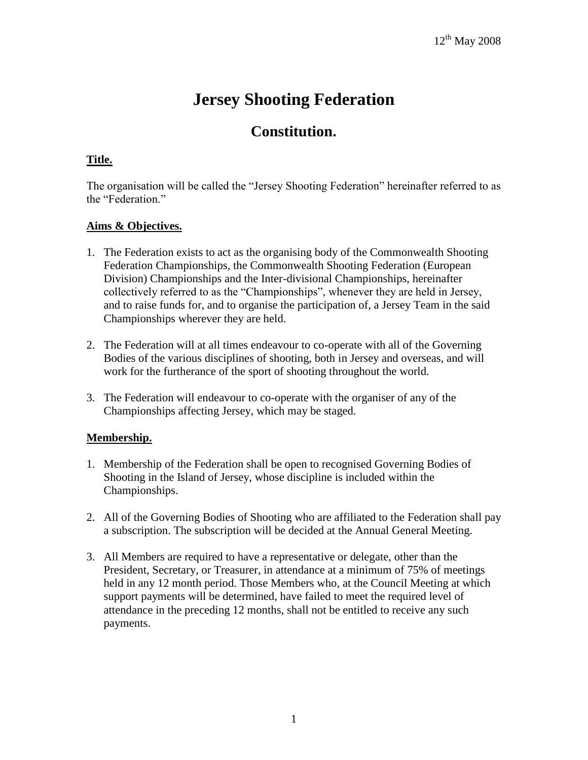# **Jersey Shooting Federation**

# **Constitution.**

# **Title.**

The organisation will be called the "Jersey Shooting Federation" hereinafter referred to as the "Federation."

#### **Aims & Objectives.**

- 1. The Federation exists to act as the organising body of the Commonwealth Shooting Federation Championships, the Commonwealth Shooting Federation (European Division) Championships and the Inter-divisional Championships, hereinafter collectively referred to as the "Championships", whenever they are held in Jersey, and to raise funds for, and to organise the participation of, a Jersey Team in the said Championships wherever they are held.
- 2. The Federation will at all times endeavour to co-operate with all of the Governing Bodies of the various disciplines of shooting, both in Jersey and overseas, and will work for the furtherance of the sport of shooting throughout the world.
- 3. The Federation will endeavour to co-operate with the organiser of any of the Championships affecting Jersey, which may be staged.

# **Membership.**

- 1. Membership of the Federation shall be open to recognised Governing Bodies of Shooting in the Island of Jersey, whose discipline is included within the Championships.
- 2. All of the Governing Bodies of Shooting who are affiliated to the Federation shall pay a subscription. The subscription will be decided at the Annual General Meeting.
- 3. All Members are required to have a representative or delegate, other than the President, Secretary, or Treasurer, in attendance at a minimum of 75% of meetings held in any 12 month period. Those Members who, at the Council Meeting at which support payments will be determined, have failed to meet the required level of attendance in the preceding 12 months, shall not be entitled to receive any such payments.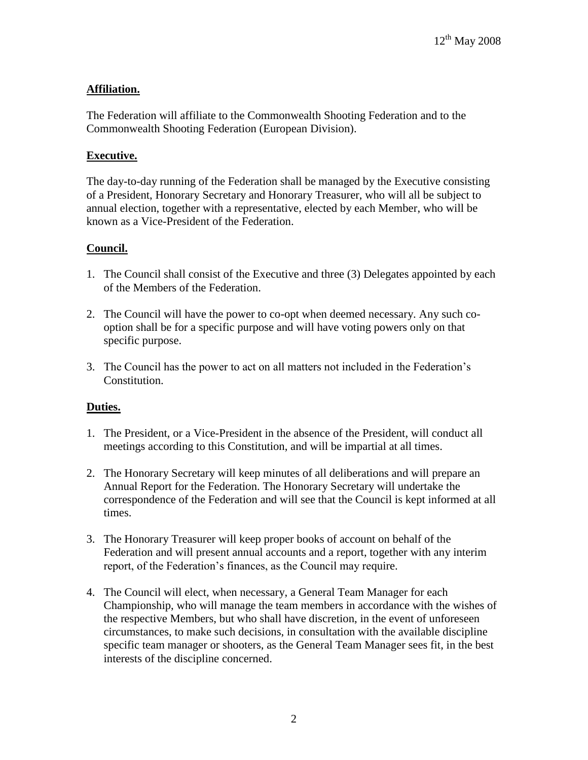# **Affiliation.**

The Federation will affiliate to the Commonwealth Shooting Federation and to the Commonwealth Shooting Federation (European Division).

#### **Executive.**

The day-to-day running of the Federation shall be managed by the Executive consisting of a President, Honorary Secretary and Honorary Treasurer, who will all be subject to annual election, together with a representative, elected by each Member, who will be known as a Vice-President of the Federation.

#### **Council.**

- 1. The Council shall consist of the Executive and three (3) Delegates appointed by each of the Members of the Federation.
- 2. The Council will have the power to co-opt when deemed necessary. Any such cooption shall be for a specific purpose and will have voting powers only on that specific purpose.
- 3. The Council has the power to act on all matters not included in the Federation's Constitution.

#### **Duties.**

- 1. The President, or a Vice-President in the absence of the President, will conduct all meetings according to this Constitution, and will be impartial at all times.
- 2. The Honorary Secretary will keep minutes of all deliberations and will prepare an Annual Report for the Federation. The Honorary Secretary will undertake the correspondence of the Federation and will see that the Council is kept informed at all times.
- 3. The Honorary Treasurer will keep proper books of account on behalf of the Federation and will present annual accounts and a report, together with any interim report, of the Federation's finances, as the Council may require.
- 4. The Council will elect, when necessary, a General Team Manager for each Championship, who will manage the team members in accordance with the wishes of the respective Members, but who shall have discretion, in the event of unforeseen circumstances, to make such decisions, in consultation with the available discipline specific team manager or shooters, as the General Team Manager sees fit, in the best interests of the discipline concerned.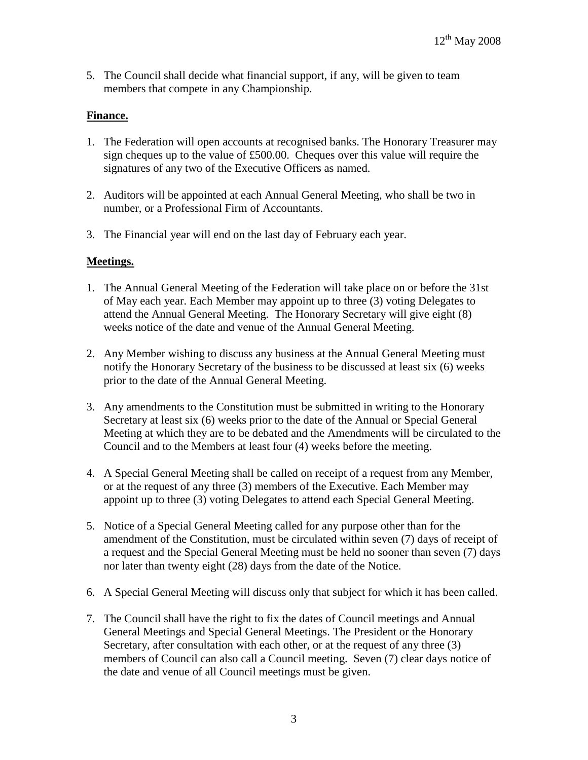5. The Council shall decide what financial support, if any, will be given to team members that compete in any Championship.

#### **Finance.**

- 1. The Federation will open accounts at recognised banks. The Honorary Treasurer may sign cheques up to the value of £500.00. Cheques over this value will require the signatures of any two of the Executive Officers as named.
- 2. Auditors will be appointed at each Annual General Meeting, who shall be two in number, or a Professional Firm of Accountants.
- 3. The Financial year will end on the last day of February each year.

#### **Meetings.**

- 1. The Annual General Meeting of the Federation will take place on or before the 31st of May each year. Each Member may appoint up to three (3) voting Delegates to attend the Annual General Meeting. The Honorary Secretary will give eight (8) weeks notice of the date and venue of the Annual General Meeting.
- 2. Any Member wishing to discuss any business at the Annual General Meeting must notify the Honorary Secretary of the business to be discussed at least six (6) weeks prior to the date of the Annual General Meeting.
- 3. Any amendments to the Constitution must be submitted in writing to the Honorary Secretary at least six (6) weeks prior to the date of the Annual or Special General Meeting at which they are to be debated and the Amendments will be circulated to the Council and to the Members at least four (4) weeks before the meeting.
- 4. A Special General Meeting shall be called on receipt of a request from any Member, or at the request of any three (3) members of the Executive. Each Member may appoint up to three (3) voting Delegates to attend each Special General Meeting.
- 5. Notice of a Special General Meeting called for any purpose other than for the amendment of the Constitution, must be circulated within seven (7) days of receipt of a request and the Special General Meeting must be held no sooner than seven (7) days nor later than twenty eight (28) days from the date of the Notice.
- 6. A Special General Meeting will discuss only that subject for which it has been called.
- 7. The Council shall have the right to fix the dates of Council meetings and Annual General Meetings and Special General Meetings. The President or the Honorary Secretary, after consultation with each other, or at the request of any three (3) members of Council can also call a Council meeting. Seven (7) clear days notice of the date and venue of all Council meetings must be given.